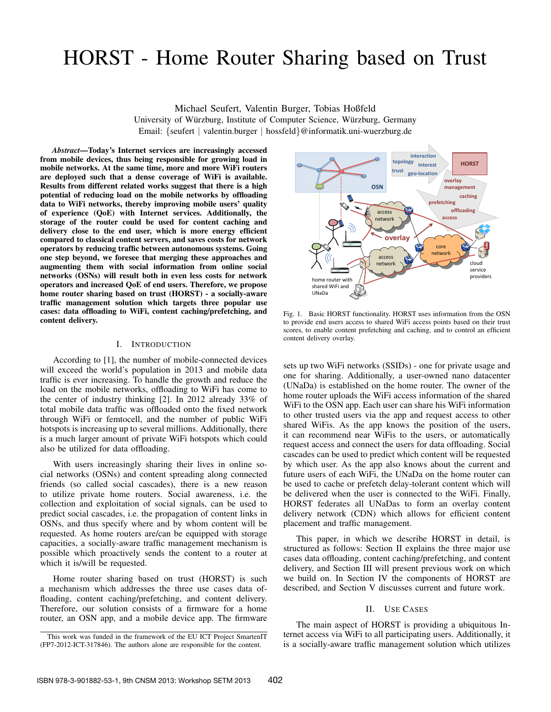# HORST - Home Router Sharing based on Trust

Michael Seufert, Valentin Burger, Tobias Hoßfeld University of Würzburg, Institute of Computer Science, Würzburg, Germany Email: {seufert | valentin.burger | hossfeld}@informatik.uni-wuerzburg.de

*Abstract*—Today's Internet services are increasingly accessed from mobile devices, thus being responsible for growing load in mobile networks. At the same time, more and more WiFi routers are deployed such that a dense coverage of WiFi is available. Results from different related works suggest that there is a high potential of reducing load on the mobile networks by offloading data to WiFi networks, thereby improving mobile users' quality of experience (QoE) with Internet services. Additionally, the storage of the router could be used for content caching and delivery close to the end user, which is more energy efficient compared to classical content servers, and saves costs for network operators by reducing traffic between autonomous systems. Going one step beyond, we foresee that merging these approaches and augmenting them with social information from online social networks (OSNs) will result both in even less costs for network operators and increased QoE of end users. Therefore, we propose home router sharing based on trust (HORST) - a socially-aware traffic management solution which targets three popular use cases: data offloading to WiFi, content caching/prefetching, and content delivery.

#### I. INTRODUCTION

According to [1], the number of mobile-connected devices will exceed the world's population in 2013 and mobile data traffic is ever increasing. To handle the growth and reduce the load on the mobile networks, offloading to WiFi has come to the center of industry thinking [2]. In 2012 already 33% of total mobile data traffic was offloaded onto the fixed network through WiFi or femtocell, and the number of public WiFi hotspots is increasing up to several millions. Additionally, there is a much larger amount of private WiFi hotspots which could also be utilized for data offloading.

With users increasingly sharing their lives in online social networks (OSNs) and content spreading along connected friends (so called social cascades), there is a new reason to utilize private home routers. Social awareness, i.e. the collection and exploitation of social signals, can be used to predict social cascades, i.e. the propagation of content links in OSNs, and thus specify where and by whom content will be requested. As home routers are/can be equipped with storage capacities, a socially-aware traffic management mechanism is possible which proactively sends the content to a router at which it is/will be requested.

Home router sharing based on trust (HORST) is such a mechanism which addresses the three use cases data offloading, content caching/prefetching, and content delivery. Therefore, our solution consists of a firmware for a home router, an OSN app, and a mobile device app. The firmware



Fig. 1. Basic HORST functionality. HORST uses information from the OSN to provide end users access to shared WiFi access points based on their trust scores, to enable content prefetching and caching, and to control an efficient content delivery overlay.

sets up two WiFi networks (SSIDs) - one for private usage and one for sharing. Additionally, a user-owned nano datacenter (UNaDa) is established on the home router. The owner of the home router uploads the WiFi access information of the shared WiFi to the OSN app. Each user can share his WiFi information to other trusted users via the app and request access to other shared WiFis. As the app knows the position of the users, it can recommend near WiFis to the users, or automatically request access and connect the users for data offloading. Social cascades can be used to predict which content will be requested by which user. As the app also knows about the current and future users of each WiFi, the UNaDa on the home router can be used to cache or prefetch delay-tolerant content which will be delivered when the user is connected to the WiFi. Finally, HORST federates all UNaDas to form an overlay content delivery network (CDN) which allows for efficient content placement and traffic management.

This paper, in which we describe HORST in detail, is structured as follows: Section II explains the three major use cases data offloading, content caching/prefetching, and content delivery, and Section III will present previous work on which we build on. In Section IV the components of HORST are described, and Section V discusses current and future work.

#### II. USE CASES

The main aspect of HORST is providing a ubiquitous Internet access via WiFi to all participating users. Additionally, it is a socially-aware traffic management solution which utilizes

This work was funded in the framework of the EU ICT Project SmartenIT (FP7-2012-ICT-317846). The authors alone are responsible for the content.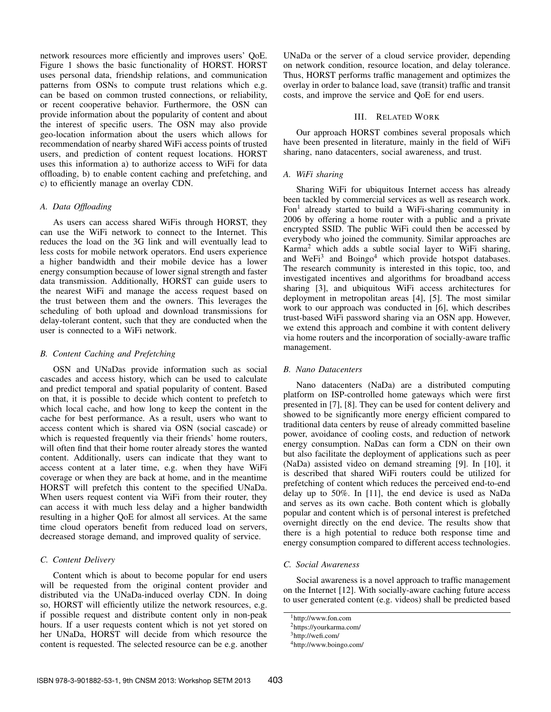network resources more efficiently and improves users' QoE. Figure 1 shows the basic functionality of HORST. HORST uses personal data, friendship relations, and communication patterns from OSNs to compute trust relations which e.g. can be based on common trusted connections, or reliability, or recent cooperative behavior. Furthermore, the OSN can provide information about the popularity of content and about the interest of specific users. The OSN may also provide geo-location information about the users which allows for recommendation of nearby shared WiFi access points of trusted users, and prediction of content request locations. HORST uses this information a) to authorize access to WiFi for data offloading, b) to enable content caching and prefetching, and c) to efficiently manage an overlay CDN.

# *A. Data Offloading*

As users can access shared WiFis through HORST, they can use the WiFi network to connect to the Internet. This reduces the load on the 3G link and will eventually lead to less costs for mobile network operators. End users experience a higher bandwidth and their mobile device has a lower energy consumption because of lower signal strength and faster data transmission. Additionally, HORST can guide users to the nearest WiFi and manage the access request based on the trust between them and the owners. This leverages the scheduling of both upload and download transmissions for delay-tolerant content, such that they are conducted when the user is connected to a WiFi network.

## *B. Content Caching and Prefetching*

OSN and UNaDas provide information such as social cascades and access history, which can be used to calculate and predict temporal and spatial popularity of content. Based on that, it is possible to decide which content to prefetch to which local cache, and how long to keep the content in the cache for best performance. As a result, users who want to access content which is shared via OSN (social cascade) or which is requested frequently via their friends' home routers, will often find that their home router already stores the wanted content. Additionally, users can indicate that they want to access content at a later time, e.g. when they have WiFi coverage or when they are back at home, and in the meantime HORST will prefetch this content to the specified UNaDa. When users request content via WiFi from their router, they can access it with much less delay and a higher bandwidth resulting in a higher QoE for almost all services. At the same time cloud operators benefit from reduced load on servers, decreased storage demand, and improved quality of service.

# *C. Content Delivery*

Content which is about to become popular for end users will be requested from the original content provider and distributed via the UNaDa-induced overlay CDN. In doing so, HORST will efficiently utilize the network resources, e.g. if possible request and distribute content only in non-peak hours. If a user requests content which is not yet stored on her UNaDa, HORST will decide from which resource the content is requested. The selected resource can be e.g. another UNaDa or the server of a cloud service provider, depending on network condition, resource location, and delay tolerance. Thus, HORST performs traffic management and optimizes the overlay in order to balance load, save (transit) traffic and transit costs, and improve the service and QoE for end users.

# III. RELATED WORK

Our approach HORST combines several proposals which have been presented in literature, mainly in the field of WiFi sharing, nano datacenters, social awareness, and trust.

#### *A. WiFi sharing*

Sharing WiFi for ubiquitous Internet access has already been tackled by commercial services as well as research work. Fon<sup>1</sup> already started to build a WiFi-sharing community in 2006 by offering a home router with a public and a private encrypted SSID. The public WiFi could then be accessed by everybody who joined the community. Similar approaches are Karma<sup>2</sup> which adds a subtle social layer to WiFi sharing, and WeFi<sup>3</sup> and Boingo<sup>4</sup> which provide hotspot databases. The research community is interested in this topic, too, and investigated incentives and algorithms for broadband access sharing [3], and ubiquitous WiFi access architectures for deployment in metropolitan areas [4], [5]. The most similar work to our approach was conducted in [6], which describes trust-based WiFi password sharing via an OSN app. However, we extend this approach and combine it with content delivery via home routers and the incorporation of socially-aware traffic management.

#### *B. Nano Datacenters*

Nano datacenters (NaDa) are a distributed computing platform on ISP-controlled home gateways which were first presented in [7], [8]. They can be used for content delivery and showed to be significantly more energy efficient compared to traditional data centers by reuse of already committed baseline power, avoidance of cooling costs, and reduction of network energy consumption. NaDas can form a CDN on their own but also facilitate the deployment of applications such as peer (NaDa) assisted video on demand streaming [9]. In [10], it is described that shared WiFi routers could be utilized for prefetching of content which reduces the perceived end-to-end delay up to 50%. In [11], the end device is used as NaDa and serves as its own cache. Both content which is globally popular and content which is of personal interest is prefetched overnight directly on the end device. The results show that there is a high potential to reduce both response time and energy consumption compared to different access technologies.

## *C. Social Awareness*

Social awareness is a novel approach to traffic management on the Internet [12]. With socially-aware caching future access to user generated content (e.g. videos) shall be predicted based

<sup>1</sup>http://www.fon.com

<sup>2</sup>https://yourkarma.com/

<sup>3</sup>http://wefi.com/

<sup>4</sup>http://www.boingo.com/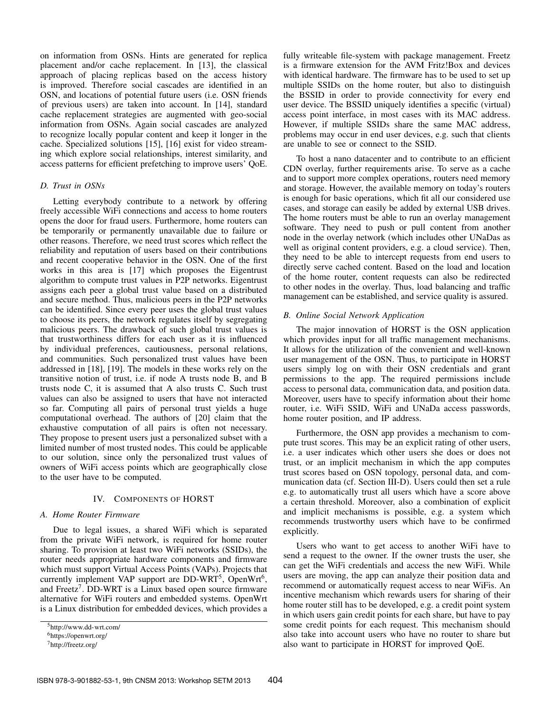on information from OSNs. Hints are generated for replica placement and/or cache replacement. In [13], the classical approach of placing replicas based on the access history is improved. Therefore social cascades are identified in an OSN, and locations of potential future users (i.e. OSN friends of previous users) are taken into account. In [14], standard cache replacement strategies are augmented with geo-social information from OSNs. Again social cascades are analyzed to recognize locally popular content and keep it longer in the cache. Specialized solutions [15], [16] exist for video streaming which explore social relationships, interest similarity, and access patterns for efficient prefetching to improve users' QoE.

# *D. Trust in OSNs*

Letting everybody contribute to a network by offering freely accessible WiFi connections and access to home routers opens the door for fraud users. Furthermore, home routers can be temporarily or permanently unavailable due to failure or other reasons. Therefore, we need trust scores which reflect the reliability and reputation of users based on their contributions and recent cooperative behavior in the OSN. One of the first works in this area is [17] which proposes the Eigentrust algorithm to compute trust values in P2P networks. Eigentrust assigns each peer a global trust value based on a distributed and secure method. Thus, malicious peers in the P2P networks can be identified. Since every peer uses the global trust values to choose its peers, the network regulates itself by segregating malicious peers. The drawback of such global trust values is that trustworthiness differs for each user as it is influenced by individual preferences, cautiousness, personal relations, and communities. Such personalized trust values have been addressed in [18], [19]. The models in these works rely on the transitive notion of trust, i.e. if node A trusts node B, and B trusts node C, it is assumed that A also trusts C. Such trust values can also be assigned to users that have not interacted so far. Computing all pairs of personal trust yields a huge computational overhead. The authors of [20] claim that the exhaustive computation of all pairs is often not necessary. They propose to present users just a personalized subset with a limited number of most trusted nodes. This could be applicable to our solution, since only the personalized trust values of owners of WiFi access points which are geographically close to the user have to be computed.

# IV. COMPONENTS OF HORST

# *A. Home Router Firmware*

Due to legal issues, a shared WiFi which is separated from the private WiFi network, is required for home router sharing. To provision at least two WiFi networks (SSIDs), the router needs appropriate hardware components and firmware which must support Virtual Access Points (VAPs). Projects that currently implement VAP support are DD-WRT<sup>5</sup>, OpenWrt<sup>6</sup>, and Freetz<sup>7</sup>. DD-WRT is a Linux based open source firmware alternative for WiFi routers and embedded systems. OpenWrt is a Linux distribution for embedded devices, which provides a

fully writeable file-system with package management. Freetz is a firmware extension for the AVM Fritz!Box and devices with identical hardware. The firmware has to be used to set up multiple SSIDs on the home router, but also to distinguish the BSSID in order to provide connectivity for every end user device. The BSSID uniquely identifies a specific (virtual) access point interface, in most cases with its MAC address. However, if multiple SSIDs share the same MAC address, problems may occur in end user devices, e.g. such that clients are unable to see or connect to the SSID.

To host a nano datacenter and to contribute to an efficient CDN overlay, further requirements arise. To serve as a cache and to support more complex operations, routers need memory and storage. However, the available memory on today's routers is enough for basic operations, which fit all our considered use cases, and storage can easily be added by external USB drives. The home routers must be able to run an overlay management software. They need to push or pull content from another node in the overlay network (which includes other UNaDas as well as original content providers, e.g. a cloud service). Then, they need to be able to intercept requests from end users to directly serve cached content. Based on the load and location of the home router, content requests can also be redirected to other nodes in the overlay. Thus, load balancing and traffic management can be established, and service quality is assured.

# *B. Online Social Network Application*

The major innovation of HORST is the OSN application which provides input for all traffic management mechanisms. It allows for the utilization of the convenient and well-known user management of the OSN. Thus, to participate in HORST users simply log on with their OSN credentials and grant permissions to the app. The required permissions include access to personal data, communication data, and position data. Moreover, users have to specify information about their home router, i.e. WiFi SSID, WiFi and UNaDa access passwords, home router position, and IP address.

Furthermore, the OSN app provides a mechanism to compute trust scores. This may be an explicit rating of other users, i.e. a user indicates which other users she does or does not trust, or an implicit mechanism in which the app computes trust scores based on OSN topology, personal data, and communication data (cf. Section III-D). Users could then set a rule e.g. to automatically trust all users which have a score above a certain threshold. Moreover, also a combination of explicit and implicit mechanisms is possible, e.g. a system which recommends trustworthy users which have to be confirmed explicitly.

Users who want to get access to another WiFi have to send a request to the owner. If the owner trusts the user, she can get the WiFi credentials and access the new WiFi. While users are moving, the app can analyze their position data and recommend or automatically request access to near WiFis. An incentive mechanism which rewards users for sharing of their home router still has to be developed, e.g. a credit point system in which users gain credit points for each share, but have to pay some credit points for each request. This mechanism should also take into account users who have no router to share but also want to participate in HORST for improved QoE.

<sup>5</sup>http://www.dd-wrt.com/

<sup>6</sup>https://openwrt.org/

<sup>7</sup>http://freetz.org/